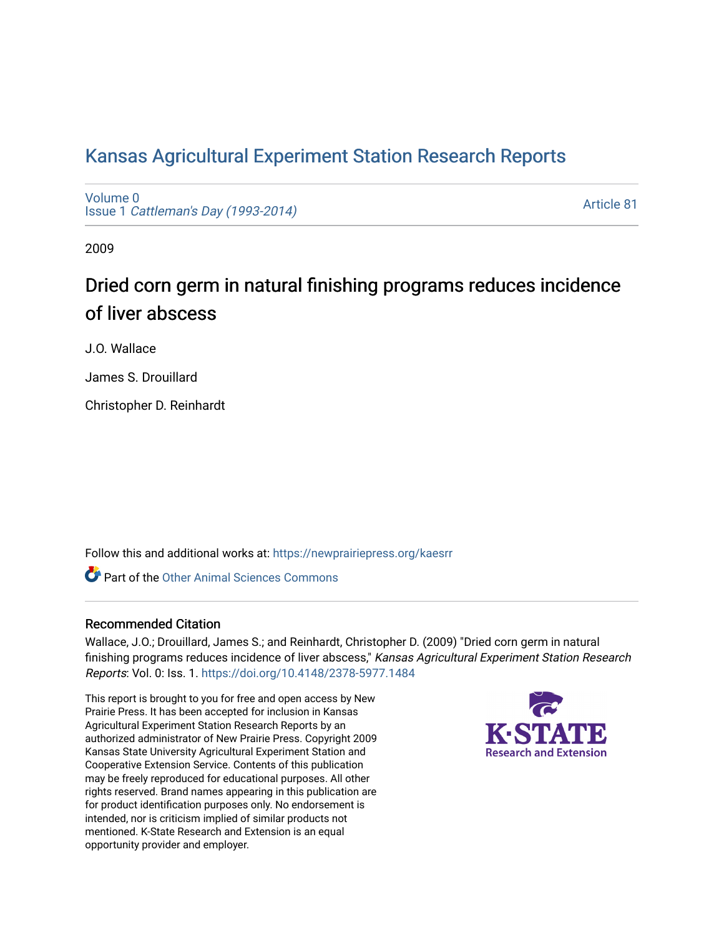## [Kansas Agricultural Experiment Station Research Reports](https://newprairiepress.org/kaesrr)

[Volume 0](https://newprairiepress.org/kaesrr/vol0) Issue 1 [Cattleman's Day \(1993-2014\)](https://newprairiepress.org/kaesrr/vol0/iss1) 

[Article 81](https://newprairiepress.org/kaesrr/vol0/iss1/81) 

2009

## Dried corn germ in natural finishing programs reduces incidence of liver abscess

J.O. Wallace

James S. Drouillard

Christopher D. Reinhardt

Follow this and additional works at: [https://newprairiepress.org/kaesrr](https://newprairiepress.org/kaesrr?utm_source=newprairiepress.org%2Fkaesrr%2Fvol0%2Fiss1%2F81&utm_medium=PDF&utm_campaign=PDFCoverPages) 

**C** Part of the [Other Animal Sciences Commons](http://network.bepress.com/hgg/discipline/82?utm_source=newprairiepress.org%2Fkaesrr%2Fvol0%2Fiss1%2F81&utm_medium=PDF&utm_campaign=PDFCoverPages)

#### Recommended Citation

Wallace, J.O.; Drouillard, James S.; and Reinhardt, Christopher D. (2009) "Dried corn germ in natural finishing programs reduces incidence of liver abscess," Kansas Agricultural Experiment Station Research Reports: Vol. 0: Iss. 1.<https://doi.org/10.4148/2378-5977.1484>

This report is brought to you for free and open access by New Prairie Press. It has been accepted for inclusion in Kansas Agricultural Experiment Station Research Reports by an authorized administrator of New Prairie Press. Copyright 2009 Kansas State University Agricultural Experiment Station and Cooperative Extension Service. Contents of this publication may be freely reproduced for educational purposes. All other rights reserved. Brand names appearing in this publication are for product identification purposes only. No endorsement is intended, nor is criticism implied of similar products not mentioned. K-State Research and Extension is an equal opportunity provider and employer.

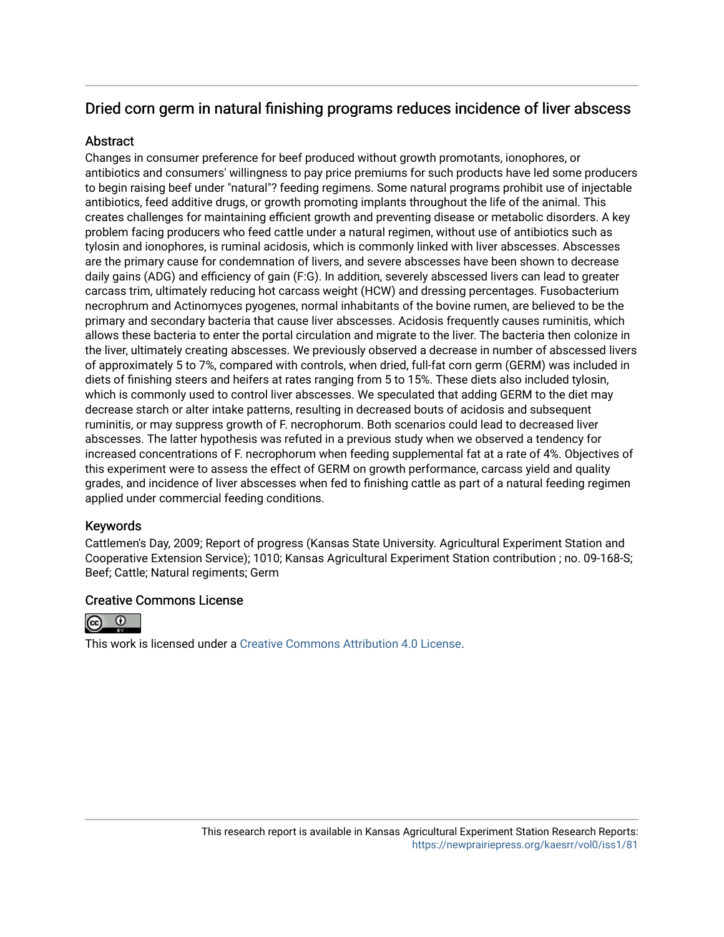### Dried corn germ in natural finishing programs reduces incidence of liver abscess

### **Abstract**

Changes in consumer preference for beef produced without growth promotants, ionophores, or antibiotics and consumers' willingness to pay price premiums for such products have led some producers to begin raising beef under "natural"? feeding regimens. Some natural programs prohibit use of injectable antibiotics, feed additive drugs, or growth promoting implants throughout the life of the animal. This creates challenges for maintaining efficient growth and preventing disease or metabolic disorders. A key problem facing producers who feed cattle under a natural regimen, without use of antibiotics such as tylosin and ionophores, is ruminal acidosis, which is commonly linked with liver abscesses. Abscesses are the primary cause for condemnation of livers, and severe abscesses have been shown to decrease daily gains (ADG) and efficiency of gain (F:G). In addition, severely abscessed livers can lead to greater carcass trim, ultimately reducing hot carcass weight (HCW) and dressing percentages. Fusobacterium necrophrum and Actinomyces pyogenes, normal inhabitants of the bovine rumen, are believed to be the primary and secondary bacteria that cause liver abscesses. Acidosis frequently causes ruminitis, which allows these bacteria to enter the portal circulation and migrate to the liver. The bacteria then colonize in the liver, ultimately creating abscesses. We previously observed a decrease in number of abscessed livers of approximately 5 to 7%, compared with controls, when dried, full-fat corn germ (GERM) was included in diets of finishing steers and heifers at rates ranging from 5 to 15%. These diets also included tylosin, which is commonly used to control liver abscesses. We speculated that adding GERM to the diet may decrease starch or alter intake patterns, resulting in decreased bouts of acidosis and subsequent ruminitis, or may suppress growth of F. necrophorum. Both scenarios could lead to decreased liver abscesses. The latter hypothesis was refuted in a previous study when we observed a tendency for increased concentrations of F. necrophorum when feeding supplemental fat at a rate of 4%. Objectives of this experiment were to assess the effect of GERM on growth performance, carcass yield and quality grades, and incidence of liver abscesses when fed to finishing cattle as part of a natural feeding regimen applied under commercial feeding conditions.

### Keywords

Cattlemen's Day, 2009; Report of progress (Kansas State University. Agricultural Experiment Station and Cooperative Extension Service); 1010; Kansas Agricultural Experiment Station contribution ; no. 09-168-S; Beef; Cattle; Natural regiments; Germ

#### Creative Commons License



This work is licensed under a [Creative Commons Attribution 4.0 License](https://creativecommons.org/licenses/by/4.0/).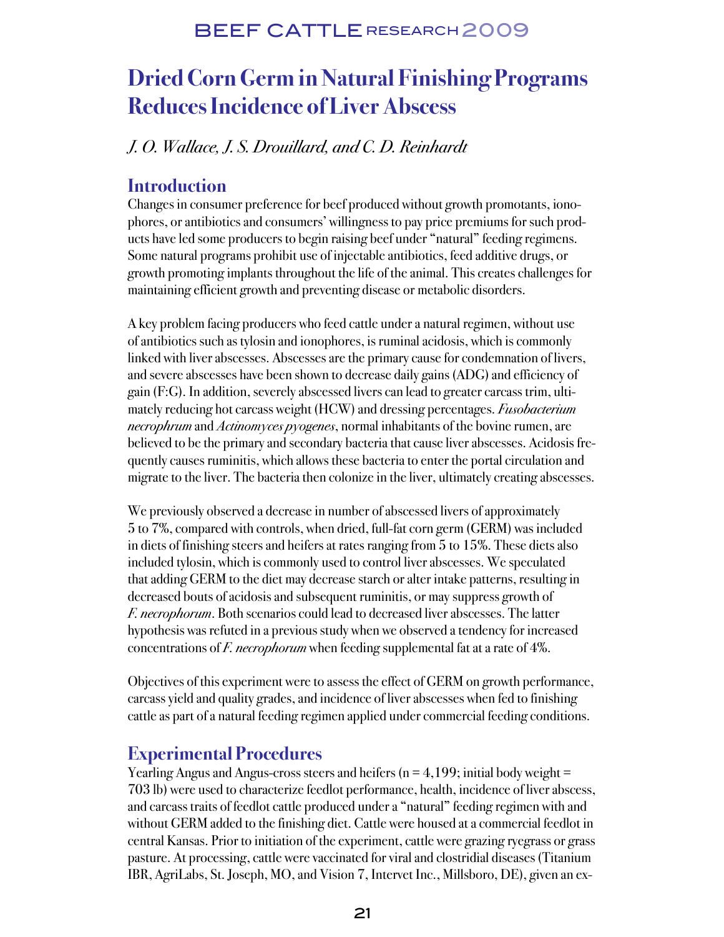# **Dried Corn Germ in Natural Finishing Programs Reduces Incidence of Liver Abscess**

### J. O. Wallace, J. S. Drouillard, and C. D. Reinhardt

### **Introduction**

Changes in consumer preference for beef produced without growth promotants, ionophores, or antibiotics and consumers' willingness to pay price premiums for such products have led some producers to begin raising beef under "natural" feeding regimens. Some natural programs prohibit use of injectable antibiotics, feed additive drugs, or growth promoting implants throughout the life of the animal. This creates challenges for maintaining efficient growth and preventing disease or metabolic disorders.

A key problem facing producers who feed cattle under a natural regimen, without use of antibiotics such as tylosin and ionophores, is ruminal acidosis, which is commonly linked with liver abscesses. Abscesses are the primary cause for condemnation of livers, and severe abscesses have been shown to decrease daily gains (ADG) and efficiency of gain (F:G). In addition, severely abscessed livers can lead to greater carcass trim, ultimately reducing hot carcass weight (HCW) and dressing percentages. *Fusobacterium* necrophrum and Actinomyces pyogenes, normal inhabitants of the bovine rumen, are believed to be the primary and secondary bacteria that cause liver abscesses. Acidosis frequently causes ruminitis, which allows these bacteria to enter the portal circulation and migrate to the liver. The bacteria then colonize in the liver, ultimately creating abscesses.

We previously observed a decrease in number of abscessed livers of approximately 5 to 7%, compared with controls, when dried, full-fat corn germ (GERM) was included in diets of finishing steers and heifers at rates ranging from 5 to 15%. These diets also included tylosin, which is commonly used to control liver abscesses. We speculated that adding GERM to the diet may decrease starch or alter intake patterns, resulting in decreased bouts of acidosis and subsequent ruminitis, or may suppress growth of F. necrophorum. Both scenarios could lead to decreased liver abscesses. The latter hypothesis was refuted in a previous study when we observed a tendency for increased concentrations of *F. necrophorum* when feeding supplemental fat at a rate of 4%.

Objectives of this experiment were to assess the effect of GERM on growth performance, carcass yield and quality grades, and incidence of liver abscesses when fed to finishing cattle as part of a natural feeding regimen applied under commercial feeding conditions.

### **Experimental Procedures**

Yearling Angus and Angus-cross steers and heifers ( $n = 4,199$ ; initial body weight  $=$ 703 lb) were used to characterize feedlot performance, health, incidence of liver abscess, and carcass traits of feedlot cattle produced under a "natural" feeding regimen with and without GERM added to the finishing diet. Cattle were housed at a commercial feedlot in central Kansas. Prior to initiation of the experiment, cattle were grazing ryegrass or grass pasture. At processing, cattle were vaccinated for viral and clostridial diseases (Titanium IBR, AgriLabs, St. Joseph, MO, and Vision 7, Intervet Inc., Millsboro, DE), given an ex-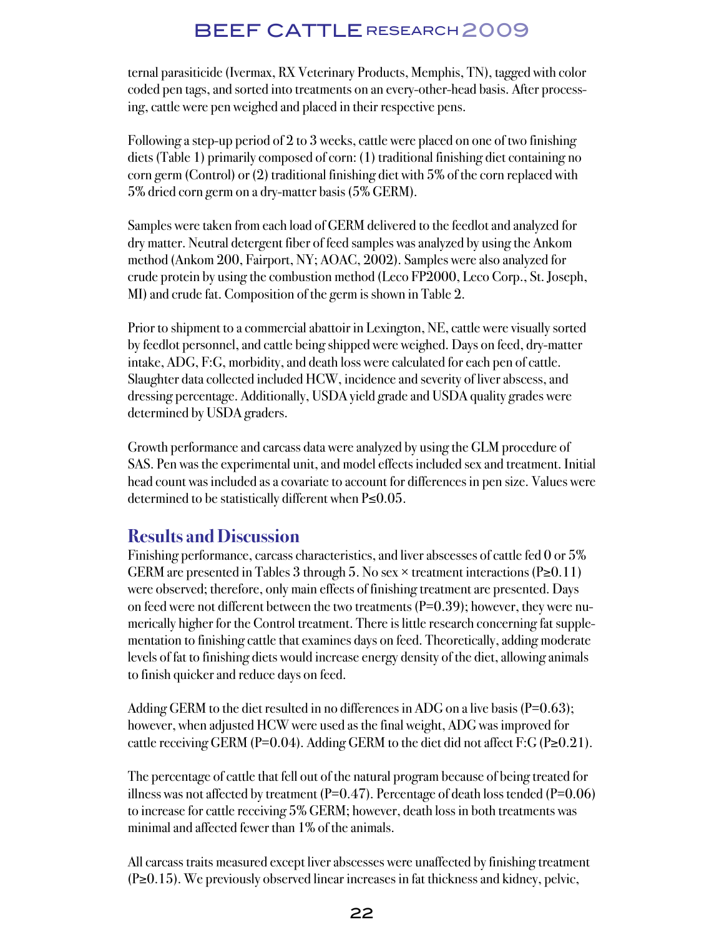ternal parasiticide (Ivermax, RX Veterinary Products, Memphis, TN), tagged with color coded pen tags, and sorted into treatments on an every-other-head basis. After processing, cattle were pen weighed and placed in their respective pens.

Following a step-up period of 2 to 3 weeks, cattle were placed on one of two finishing diets (Table 1) primarily composed of corn: (1) traditional finishing diet containing no corn germ (Control) or (2) traditional finishing diet with 5% of the corn replaced with 5% dried corn germ on a dry-matter basis (5% GERM).

Samples were taken from each load of GERM delivered to the feedlot and analyzed for dry matter. Neutral detergent fiber of feed samples was analyzed by using the Ankom method (Ankom 200, Fairport, NY; AOAC, 2002). Samples were also analyzed for crude protein by using the combustion method (Leco FP2000, Leco Corp., St. Joseph, MI) and crude fat. Composition of the germ is shown in Table 2.

Prior to shipment to a commercial abattoir in Lexington, NE, cattle were visually sorted by feedlot personnel, and cattle being shipped were weighed. Days on feed, dry-matter intake, ADG, F:G, morbidity, and death loss were calculated for each pen of cattle. Slaughter data collected included HCW, incidence and severity of liver abscess, and dressing percentage. Additionally, USDA yield grade and USDA quality grades were determined by USDA graders.

Growth performance and carcass data were analyzed by using the GLM procedure of SAS. Pen was the experimental unit, and model effects included sex and treatment. Initial head count was included as a covariate to account for differences in pen size. Values were determined to be statistically different when P≤0.05.

### **Results and Discussion**

Finishing performance, carcass characteristics, and liver abscesses of cattle fed 0 or 5% GERM are presented in Tables 3 through 5. No sex  $\times$  treatment interactions (P≥0.11) were observed; therefore, only main effects of finishing treatment are presented. Days on feed were not different between the two treatments  $(P=0.39)$ ; however, they were numerically higher for the Control treatment. There is little research concerning fat supplementation to finishing cattle that examines days on feed. Theoretically, adding moderate levels of fat to finishing diets would increase energy density of the diet, allowing animals to finish quicker and reduce days on feed.

Adding GERM to the diet resulted in no differences in ADG on a live basis ( $P=0.63$ ); however, when adjusted HCW were used as the final weight, ADG was improved for cattle receiving GERM (P=0.04). Adding GERM to the diet did not affect F:G (P $\geq$ 0.21).

The percentage of cattle that fell out of the natural program because of being treated for illness was not affected by treatment  $(P=0.47)$ . Percentage of death loss tended  $(P=0.06)$ to increase for cattle receiving 5% GERM; however, death loss in both treatments was minimal and affected fewer than 1% of the animals.

All carcass traits measured except liver abscesses were unaffected by finishing treatment (P≥0.15). We previously observed linear increases in fat thickness and kidney, pelvic,

#### 22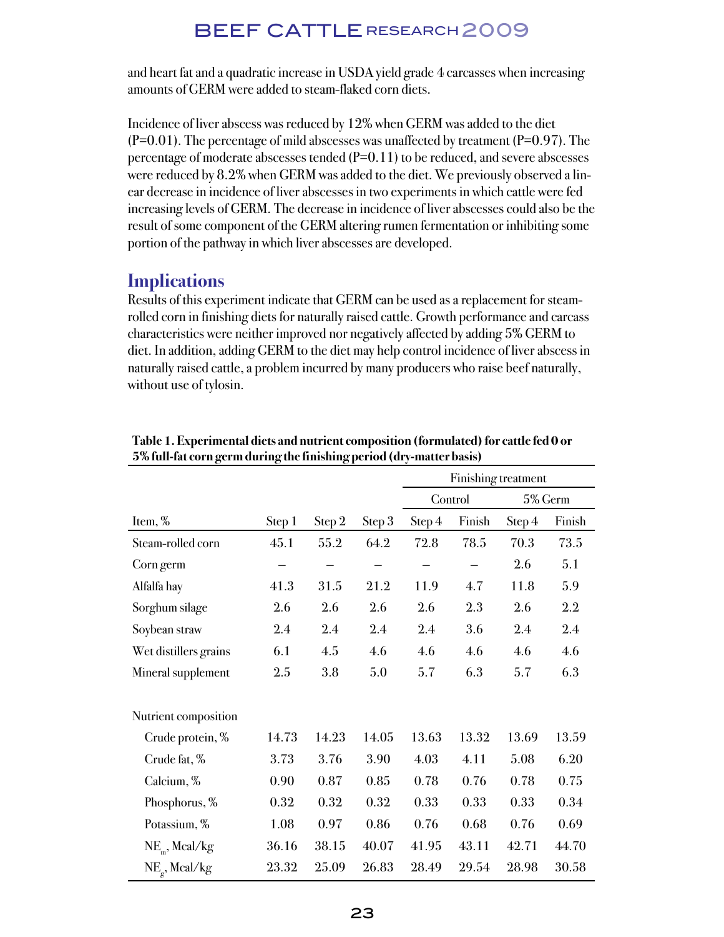and heart fat and a quadratic increase in USDA yield grade 4 carcasses when increasing amounts of GERM were added to steam-flaked corn diets.

Incidence of liver abscess was reduced by 12% when GERM was added to the diet  $(P=0.01)$ . The percentage of mild abscesses was unaffected by treatment  $(P=0.97)$ . The percentage of moderate abscesses tended  $(P=0.11)$  to be reduced, and severe abscesses were reduced by 8.2% when GERM was added to the diet. We previously observed a linear decrease in incidence of liver abscesses in two experiments in which cattle were fed increasing levels of GERM. The decrease in incidence of liver abscesses could also be the result of some component of the GERM altering rumen fermentation or inhibiting some portion of the pathway in which liver abscesses are developed.

### **Implications**

Results of this experiment indicate that GERM can be used as a replacement for steamrolled corn in finishing diets for naturally raised cattle. Growth performance and carcass characteristics were neither improved nor negatively affected by adding 5% GERM to diet. In addition, adding GERM to the diet may help control incidence of liver abscess in naturally raised cattle, a problem incurred by many producers who raise beef naturally, without use of tylosin.

|                         |                  |         |                  | Finishing treatment |        |         |                  |
|-------------------------|------------------|---------|------------------|---------------------|--------|---------|------------------|
|                         |                  |         |                  | Control             |        | 5% Germ |                  |
| Item, %                 | Step 1           | Step 2  | Step 3           | Step 4              | Finish | Step 4  | Finish           |
| Steam-rolled corn       | 45.1             | 55.2    | 64.2             | 72.8                | 78.5   | 70.3    | 73.5             |
| Corn germ               |                  |         |                  |                     |        | 2.6     | 5.1              |
| Alfalfa hay             | 41.3             | 31.5    | 21.2             | 11.9                | 4.7    | 11.8    | 5.9              |
| Sorghum silage          | 2.6              | 2.6     | 2.6              | 2.6                 | 2.3    | 2.6     | 2.2              |
| Soybean straw           | $2.4\phantom{0}$ | $2.4\,$ | $2.4\phantom{0}$ | $2.4\phantom{0}$    | 3.6    | 2.4     | $2.4\phantom{0}$ |
| Wet distillers grains   | 6.1              | 4.5     | 4.6              | 4.6                 | 4.6    | 4.6     | 4.6              |
| Mineral supplement      | 2.5              | 3.8     | 5.0              | 5.7                 | 6.3    | 5.7     | 6.3              |
| Nutrient composition    |                  |         |                  |                     |        |         |                  |
| Crude protein, %        | 14.73            | 14.23   | 14.05            | 13.63               | 13.32  | 13.69   | 13.59            |
| Crude fat, %            | 3.73             | 3.76    | 3.90             | 4.03                | 4.11   | 5.08    | 6.20             |
| Calcium, %              | 0.90             | 0.87    | 0.85             | 0.78                | 0.76   | 0.78    | 0.75             |
| Phosphorus, %           | 0.32             | 0.32    | 0.32             | 0.33                | 0.33   | 0.33    | 0.34             |
| Potassium, %            | 1.08             | 0.97    | 0.86             | 0.76                | 0.68   | 0.76    | 0.69             |
| $NE_{m}$ , Mcal/kg      | 36.16            | 38.15   | 40.07            | 41.95               | 43.11  | 42.71   | 44.70            |
| $NE_{\alpha}$ , Mcal/kg | 23.32            | 25.09   | 26.83            | 28.49               | 29.54  | 28.98   | 30.58            |

**Table 1. Experimental diets and nutrient composition (formulated) for cattle fed 0 or 5% full-fat corn germ during the finishing period (dry-matter basis)**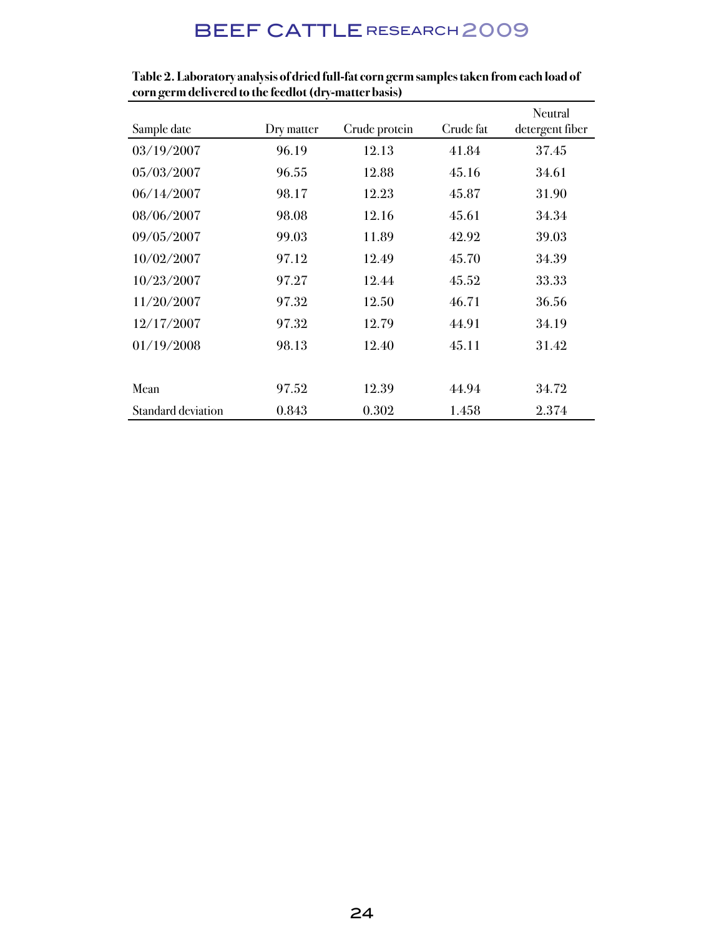| Sample date               | Dry matter | Crude protein | Crude fat | Neutral<br>detergent fiber |
|---------------------------|------------|---------------|-----------|----------------------------|
|                           |            |               |           |                            |
| 03/19/2007                | 96.19      | 12.13         | 41.84     | 37.45                      |
| 05/03/2007                | 96.55      | 12.88         | 45.16     | 34.61                      |
| 06/14/2007                | 98.17      | 12.23         | 45.87     | 31.90                      |
| 08/06/2007                | 98.08      | 12.16         | 45.61     | 34.34                      |
| 09/05/2007                | 99.03      | 11.89         | 42.92     | 39.03                      |
| 10/02/2007                | 97.12      | 12.49         | 45.70     | 34.39                      |
| 10/23/2007                | 97.27      | 12.44         | 45.52     | 33.33                      |
| 11/20/2007                | 97.32      | 12.50         | 46.71     | 36.56                      |
| 12/17/2007                | 97.32      | 12.79         | 44.91     | 34.19                      |
| 01/19/2008                | 98.13      | 12.40         | 45.11     | 31.42                      |
|                           |            |               |           |                            |
| Mean                      | 97.52      | 12.39         | 44.94     | 34.72                      |
| <b>Standard deviation</b> | 0.843      | 0.302         | 1.458     | 2.374                      |

**Table 2. Laboratory analysis of dried full-fat corn germ samples taken from each load of corn germ delivered to the feedlot (dry-matter basis)**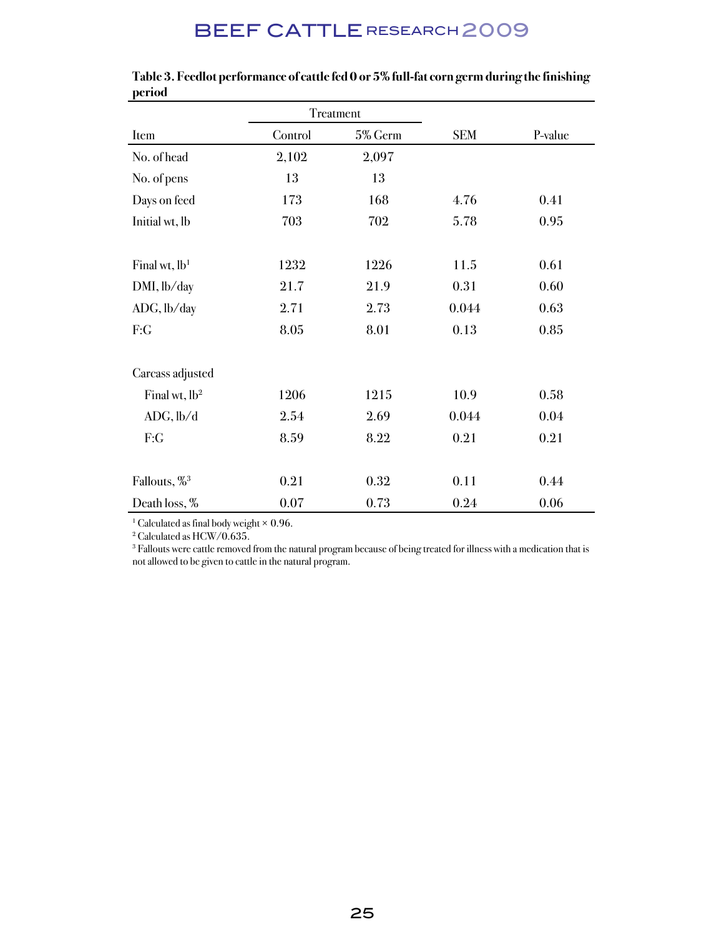|                          | Treatment |         |            |         |
|--------------------------|-----------|---------|------------|---------|
| Item                     | Control   | 5% Germ | <b>SEM</b> | P-value |
| No. of head              | 2,102     | 2,097   |            |         |
| No. of pens              | 13        | 13      |            |         |
| Days on feed             | 173       | 168     | 4.76       | 0.41    |
| Initial wt, lb           | 703       | 702     | 5.78       | 0.95    |
|                          |           |         |            |         |
| Final wt, $lb1$          | 1232      | 1226    | 11.5       | 0.61    |
| DMI, lb/day              | 21.7      | 21.9    | 0.31       | 0.60    |
| ADG, lb/day              | 2.71      | 2.73    | 0.044      | 0.63    |
| F:G                      | 8.05      | 8.01    | 0.13       | 0.85    |
|                          |           |         |            |         |
| Carcass adjusted         |           |         |            |         |
| Final wt, $lb^2$         | 1206      | 1215    | 10.9       | 0.58    |
| ADC, lb/d                | 2.54      | 2.69    | 0.044      | 0.04    |
| F:G                      | 8.59      | 8.22    | 0.21       | 0.21    |
|                          |           |         |            |         |
| Fallouts, % <sup>3</sup> | 0.21      | 0.32    | 0.11       | 0.44    |
| Death loss, %            | 0.07      | 0.73    | 0.24       | 0.06    |

#### **Table 3. Feedlot performance of cattle fed 0 or 5% full-fat corn germ during the finishing period**

<sup>1</sup> Calculated as final body weight  $\times$  0.96.

2 Calculated as HCW/0.635.

3 Fallouts were cattle removed from the natural program because of being treated for illness with a medication that is not allowed to be given to cattle in the natural program.